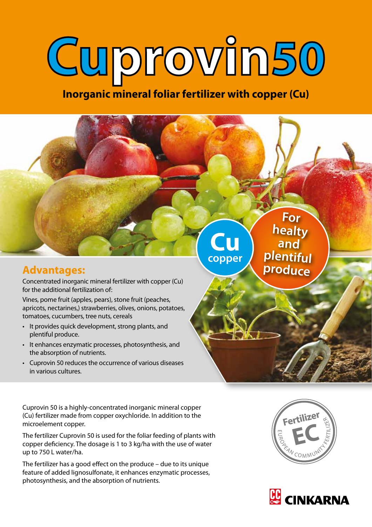# Cuprovin50

### **Inorganic mineral foliar fertilizer with copper (Cu)**

#### **Advantages:**

Concentrated inorganic mineral fertilizer with copper (Cu) for the additional fertilization of:

Vines, pome fruit (apples, pears), stone fruit (peaches, apricots, nectarines,) strawberries, olives, onions, potatoes, tomatoes, cucumbers, tree nuts, cereals

- It provides quick development, strong plants, and plentiful produce.
- It enhances enzymatic processes, photosynthesis, and the absorption of nutrients.
- Cuprovin 50 reduces the occurrence of various diseases in various cultures.

Cuprovin 50 is a highly-concentrated inorganic mineral copper (Cu) fertilizer made from copper oxychloride. In addition to the microelement copper.

The fertilizer Cuprovin 50 is used for the foliar feeding of plants with copper deficiency. The dosage is 1 to 3 kg/ha with the use of water up to 750 L water/ha.

The fertilizer has a good effect on the produce – due to its unique feature of added lignosulfonate, it enhances enzymatic processes, photosynthesis, and the absorption of nutrients.



**For** 

**healty and** 

**plentiful**

**Cu**

**copper**

**produce**